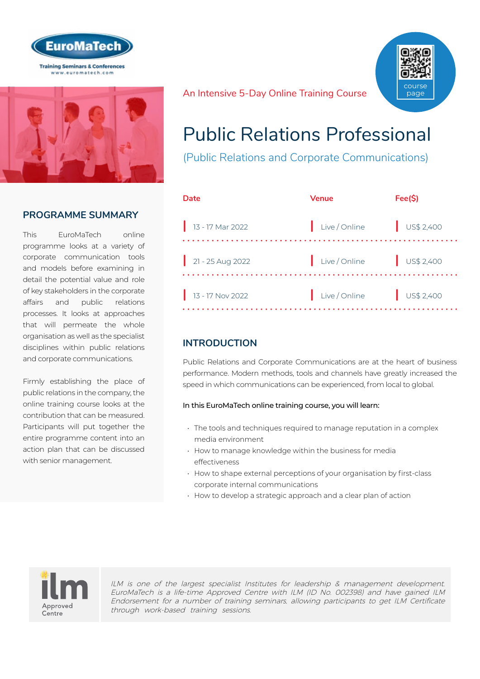



### **PROGRAMME SUMMARY**

This EuroMaTech online programme looks at a variety of corporate communication tools and models before examining in detail the potential value and role of key stakeholders in the corporate affairs and public relations processes. It looks at approaches that will permeate the whole organisation as well as the specialist disciplines within public relations and corporate communications.

Firmly establishing the place of public relations in the company, the online training course looks at the contribution that can be measured. Participants will put together the entire programme content into an action plan that can be discussed with senior management.

An Intensive 5-Day Online Training Course



# Public Relations Professional

(Public Relations and Corporate Communications)

| Date                         | <b>Venue</b>  | Fee(S)               |
|------------------------------|---------------|----------------------|
| $\frac{1}{13}$ - 17 Mar 2022 | Live / Online | $\bigcup$ US\$ 2,400 |
| $21 - 25$ Aug 2022           | Live / Online | $\bigcup$ US\$ 2,400 |
| $13 - 17$ Nov 2022           | Live / Online | $\bigcup$ US\$ 2,400 |

### **INTRODUCTION**

Public Relations and Corporate Communications are at the heart of business performance. Modern methods, tools and channels have greatly increased the speed in which communications can be experienced, from local to global.

#### In this EuroMaTech online training course, you will learn:

- The tools and techniques required to manage reputation in a complex media environment
- How to manage knowledge within the business for media effectiveness
- How to shape external perceptions of your organisation by first-class corporate internal communications
- How to develop a strategic approach and a clear plan of action



ILM is one of the largest specialist Institutes for leadership & management development. EuroMaTech is a life-time Approved Centre with ILM (ID No. 002398) and have gained ILM Endorsement for a number of training seminars, allowing participants to get ILM Certificate through work-based training sessions.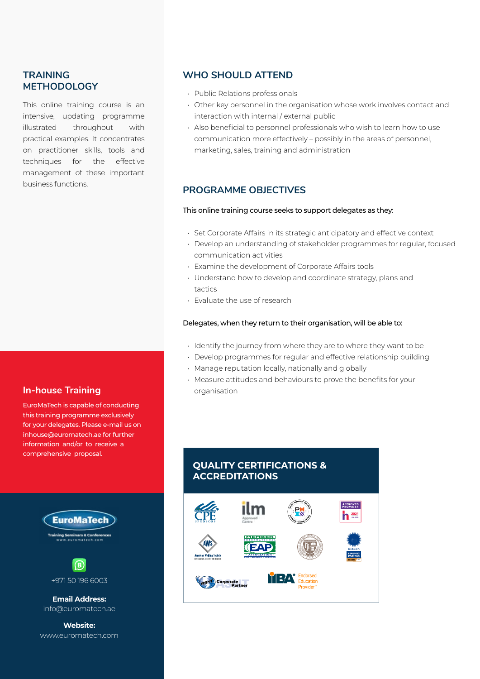### **TRAINING METHODOLOGY**

This online training course is an intensive, updating programme illustrated throughout with practical examples. It concentrates on practitioner skills, tools and techniques for the effective management of these important business functions.

#### **In-house Training**

EuroMaTech is capable of conducting this training programme exclusively for your delegates. Please e-mail us on inhouse@euromatech.ae for further information and/or to receive a comprehensive proposal.

# **EuroMaTech** ars & Co



**Email Address:** info@euromatech.ae

**Website:** www.euromatech.com

#### **WHO SHOULD ATTEND**

- Public Relations professionals
- Other key personnel in the organisation whose work involves contact and interaction with internal / external public
- Also beneficial to personnel professionals who wish to learn how to use communication more effectively – possibly in the areas of personnel, marketing, sales, training and administration

### **PROGRAMME OBJECTIVES**

#### This online training course seeks to support delegates as they:

- Set Corporate Affairs in its strategic anticipatory and effective context
- Develop an understanding of stakeholder programmes for regular, focused communication activities
- Examine the development of Corporate Affairs tools
- Understand how to develop and coordinate strategy, plans and tactics
- Evaluate the use of research

#### Delegates, when they return to their organisation, will be able to:

- Identify the journey from where they are to where they want to be
- Develop programmes for regular and effective relationship building
- Manage reputation locally, nationally and globally
- Measure attitudes and behaviours to prove the benefits for your organisation

### **QUALITY CERTIFICATIONS & ACCREDITATIONS**

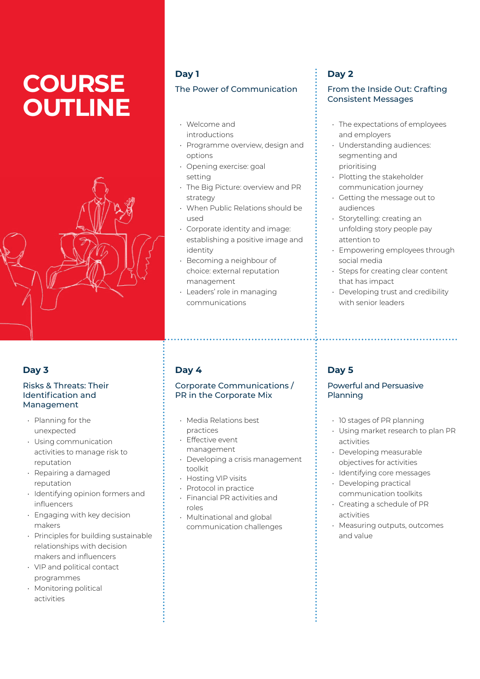# **COURSE OUTLINE**



### **Day 3**

#### Risks & Threats: Their Identification and Management

- Planning for the unexpected
- Using communication activities to manage risk to reputation
- Repairing a damaged reputation
- Identifying opinion formers and influencers
- Engaging with key decision makers
- Principles for building sustainable relationships with decision makers and influencers
- VIP and political contact programmes
- Monitoring political activities

### **Day 1**

#### The Power of Communication

- Welcome and introductions
- Programme overview, design and options
- Opening exercise: goal setting
- The Big Picture: overview and PR strategy
- When Public Relations should be used
- Corporate identity and image: establishing a positive image and identity
- Becoming a neighbour of choice: external reputation management
- Leaders' role in managing communications

### **Day 4**

#### Corporate Communications / PR in the Corporate Mix

- Media Relations best practices
- Effective event management
- Developing a crisis management toolkit
- Hosting VIP visits
- Protocol in practice
- Financial PR activities and roles
- Multinational and global communication challenges

### **Day 2**

#### From the Inside Out: Crafting Consistent Messages

- The expectations of employees and employers
- Understanding audiences: segmenting and prioritising
- Plotting the stakeholder communication journey
- Getting the message out to audiences
- Storytelling: creating an unfolding story people pay attention to
- Empowering employees through social media
- Steps for creating clear content that has impact
- Developing trust and credibility with senior leaders

### **Day 5**

#### Powerful and Persuasive Planning

- 10 stages of PR planning
- Using market research to plan PR activities
- Developing measurable objectives for activities
- Identifying core messages
- Developing practical communication toolkits
- Creating a schedule of PR activities
- Measuring outputs, outcomes and value